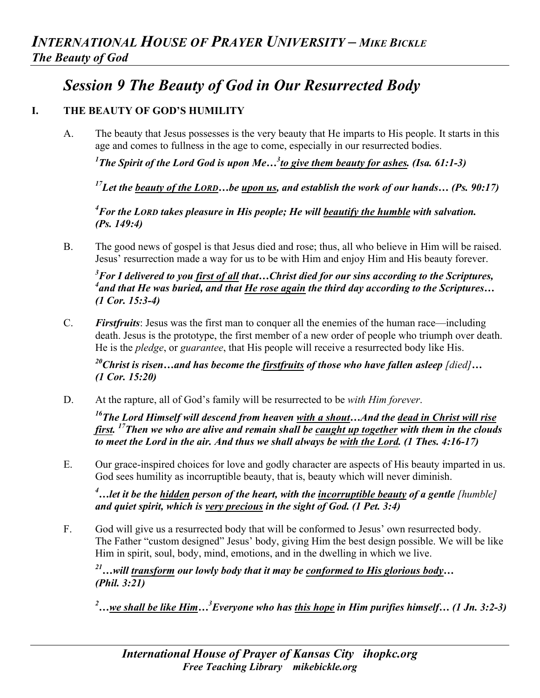## *Session 9 The Beauty of God in Our Resurrected Body*

## **I. THE BEAUTY OF GOD'S HUMILITY**

A. The beauty that Jesus possesses is the very beauty that He imparts to His people. It starts in this age and comes to fullness in the age to come, especially in our resurrected bodies.

*1 The Spirit of the Lord God is upon Me…3 to give them beauty for ashes. (Isa. 61:1-3)*

*17Let the beauty of the LORD…be upon us, and establish the work of our hands… (Ps. 90:17)*

*4 For the LORD takes pleasure in His people; He will beautify the humble with salvation. (Ps. 149:4)* 

B. The good news of gospel is that Jesus died and rose; thus, all who believe in Him will be raised. Jesus' resurrection made a way for us to be with Him and enjoy Him and His beauty forever.

*3 For I delivered to you first of all that…Christ died for our sins according to the Scriptures, 4 and that He was buried, and that He rose again the third day according to the Scriptures… (1 Cor. 15:3-4)* 

C. *Firstfruits*: Jesus was the first man to conquer all the enemies of the human race—including death. Jesus is the prototype, the first member of a new order of people who triumph over death. He is the *pledge*, or *guarantee*, that His people will receive a resurrected body like His.

*20Christ is risen…and has become the firstfruits of those who have fallen asleep [died]… (1 Cor. 15:20)*

D. At the rapture, all of God's family will be resurrected to be *with Him forever*.

*16The Lord Himself will descend from heaven with a shout…And the dead in Christ will rise first. 17Then we who are alive and remain shall be caught up together with them in the clouds to meet the Lord in the air. And thus we shall always be with the Lord. (1 Thes. 4:16-17)*

E. Our grace-inspired choices for love and godly character are aspects of His beauty imparted in us. God sees humility as incorruptible beauty, that is, beauty which will never diminish.

<sup>4</sup>...let it be the <u>hidden</u> person of the heart, with the incorruptible beauty of a gentle [humble] *and quiet spirit, which is very precious in the sight of God. (1 Pet. 3:4)* 

F. God will give us a resurrected body that will be conformed to Jesus' own resurrected body. The Father "custom designed" Jesus' body, giving Him the best design possible. We will be like Him in spirit, soul, body, mind, emotions, and in the dwelling in which we live.

*21…will transform our lowly body that it may be conformed to His glorious body… (Phil. 3:21)*

*2 …we shall be like Him…3 Everyone who has this hope in Him purifies himself… (1 Jn. 3:2-3)*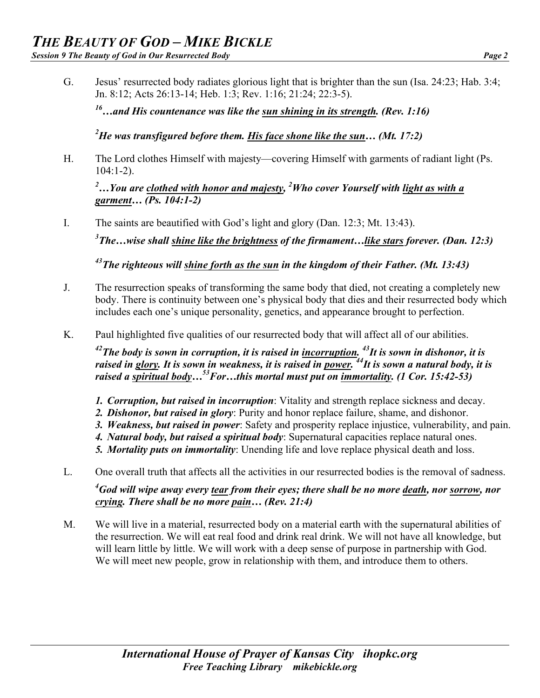G. Jesus' resurrected body radiates glorious light that is brighter than the sun (Isa. 24:23; Hab. 3:4; Jn. 8:12; Acts 26:13-14; Heb. 1:3; Rev. 1:16; 21:24; 22:3-5).

*16…and His countenance was like the sun shining in its strength. (Rev. 1:16)*

*2 He was transfigured before them. His face shone like the sun… (Mt. 17:2)* 

H. The Lord clothes Himself with majesty—covering Himself with garments of radiant light (Ps.  $104:1-2$ ).

*2 …You are clothed with honor and majesty, 2 Who cover Yourself with light as with a garment… (Ps. 104:1-2)* 

I. The saints are beautified with God's light and glory (Dan. 12:3; Mt. 13:43).

*3 The…wise shall shine like the brightness of the firmament…like stars forever. (Dan. 12:3)*

*43The righteous will shine forth as the sun in the kingdom of their Father. (Mt. 13:43)* 

- J. The resurrection speaks of transforming the same body that died, not creating a completely new body. There is continuity between one's physical body that dies and their resurrected body which includes each one's unique personality, genetics, and appearance brought to perfection.
- K. Paul highlighted five qualities of our resurrected body that will affect all of our abilities.

*42The body is sown in corruption, it is raised in incorruption. 43It is sown in dishonor, it is raised in glory. It is sown in weakness, it is raised in power. 44It is sown a natural body, it is*  raised a spiritual body...<sup>53</sup>For...this mortal must put on <u>immortality</u>. (1 Cor. 15:42-53)

- *1. Corruption, but raised in incorruption*: Vitality and strength replace sickness and decay.
- *2. Dishonor, but raised in glory*: Purity and honor replace failure, shame, and dishonor.
- *3. Weakness, but raised in power*: Safety and prosperity replace injustice, vulnerability, and pain.
- *4. Natural body, but raised a spiritual body*: Supernatural capacities replace natural ones.
- *5. Mortality puts on immortality*: Unending life and love replace physical death and loss.
- L. One overall truth that affects all the activities in our resurrected bodies is the removal of sadness.

*4 God will wipe away every tear from their eyes; there shall be no more death, nor sorrow, nor crying. There shall be no more pain… (Rev. 21:4)* 

M. We will live in a material, resurrected body on a material earth with the supernatural abilities of the resurrection. We will eat real food and drink real drink. We will not have all knowledge, but will learn little by little. We will work with a deep sense of purpose in partnership with God. We will meet new people, grow in relationship with them, and introduce them to others.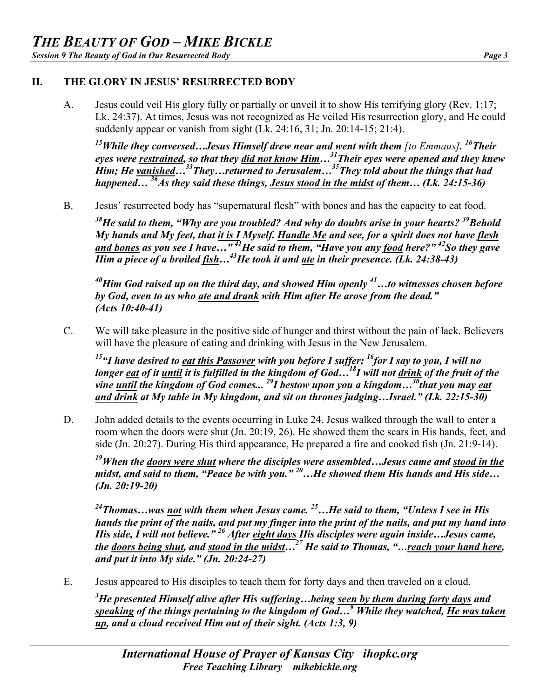## **II. THE GLORY IN JESUS' RESURRECTED BODY**

A. Jesus could veil His glory fully or partially or unveil it to show His terrifying glory (Rev. 1:17; Lk. 24:37). At times, Jesus was not recognized as He veiled His resurrection glory, and He could suddenly appear or vanish from sight  $(Lk, 24:16, 31;$  Jn.  $20:14-15; 21:4$ ).

*15While they conversed…Jesus Himself drew near and went with them [to Emmaus]. 16Their eyes were restrained, so that they did not know Him…31Their eyes were opened and they knew Him; He vanished…33They…returned to Jerusalem…35They told about the things that had happened… 36As they said these things, Jesus stood in the midst of them… (Lk. 24:15-36)* 

B. Jesus' resurrected body has "supernatural flesh" with bones and has the capacity to eat food.

<sup>38</sup>He said to them, "Why are you troubled? And why do doubts arise in your hearts? <sup>39</sup>Behold *My hands and My feet, that it is I Myself. Handle Me and see, for a spirit does not have flesh and bones as you see I have…" 41He said to them, "Have you any food here?" 42So they gave Him a piece of a broiled fish…43He took it and ate in their presence. (Lk. 24:38-43)*

*40Him God raised up on the third day, and showed Him openly 41…to witnesses chosen before by God, even to us who ate and drank with Him after He arose from the dead." (Acts 10:40-41)* 

C. We will take pleasure in the positive side of hunger and thirst without the pain of lack. Believers will have the pleasure of eating and drinking with Jesus in the New Jerusalem.

*15"I have desired to eat this Passover with you before I suffer; 16for I say to you, I will no longer eat of it until it is fulfilled in the kingdom of God…18I will not drink of the fruit of the vine until the kingdom of God comes... 29I bestow upon you a kingdom…30that you may eat and drink at My table in My kingdom, and sit on thrones judging…Israel." (Lk. 22:15-30)* 

D. John added details to the events occurring in Luke 24. Jesus walked through the wall to enter a room when the doors were shut (Jn. 20:19, 26). He showed them the scars in His hands, feet, and side (Jn. 20:27). During His third appearance, He prepared a fire and cooked fish (Jn. 21:9-14).

*19When the doors were shut where the disciples were assembled…Jesus came and stood in the midst, and said to them, "Peace be with you." 20…He showed them His hands and His side… (Jn. 20:19-20)*

*24Thomas…was not with them when Jesus came. 25…He said to them, "Unless I see in His hands the print of the nails, and put my finger into the print of the nails, and put my hand into His side, I will not believe." <sup>26</sup> After eight days His disciples were again inside…Jesus came, the doors being shut, and stood in the midst…27 He said to Thomas, "…reach your hand here, and put it into My side." (Jn. 20:24-27)* 

E. Jesus appeared to His disciples to teach them for forty days and then traveled on a cloud.

*3 He presented Himself alive after His suffering…being seen by them during forty days and speaking of the things pertaining to the kingdom of God…<sup>9</sup> While they watched, He was taken up, and a cloud received Him out of their sight. (Acts 1:3, 9)*